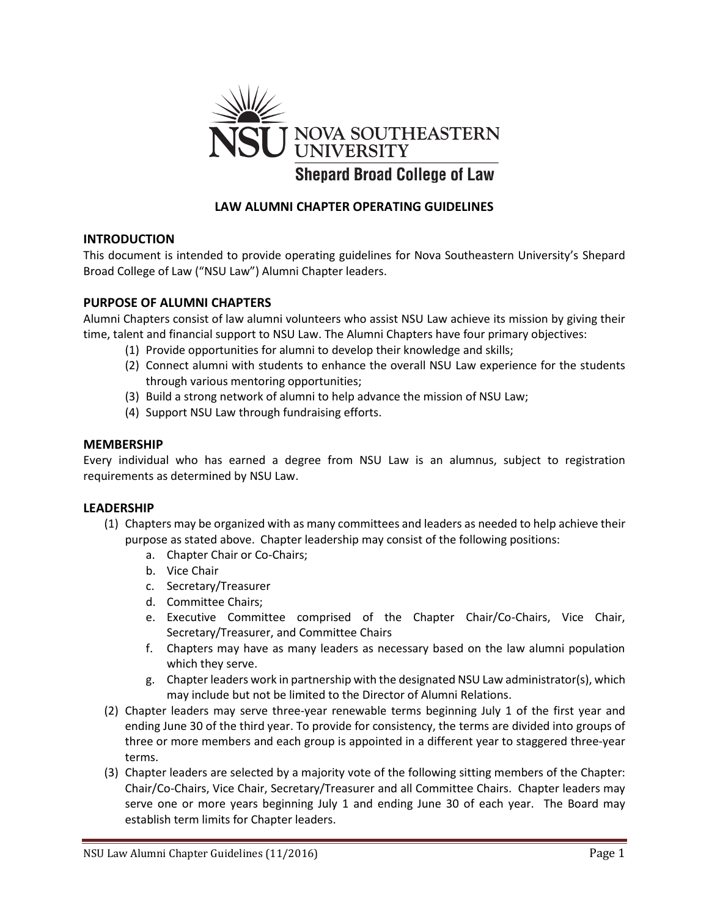

# **LAW ALUMNI CHAPTER OPERATING GUIDELINES**

## **INTRODUCTION**

This document is intended to provide operating guidelines for Nova Southeastern University's Shepard Broad College of Law ("NSU Law") Alumni Chapter leaders.

### **PURPOSE OF ALUMNI CHAPTERS**

Alumni Chapters consist of law alumni volunteers who assist NSU Law achieve its mission by giving their time, talent and financial support to NSU Law. The Alumni Chapters have four primary objectives:

- (1) Provide opportunities for alumni to develop their knowledge and skills;
- (2) Connect alumni with students to enhance the overall NSU Law experience for the students through various mentoring opportunities;
- (3) Build a strong network of alumni to help advance the mission of NSU Law;
- (4) Support NSU Law through fundraising efforts.

#### **MEMBERSHIP**

Every individual who has earned a degree from NSU Law is an alumnus, subject to registration requirements as determined by NSU Law.

#### **LEADERSHIP**

- (1) Chapters may be organized with as many committees and leaders as needed to help achieve their purpose as stated above. Chapter leadership may consist of the following positions:
	- a. Chapter Chair or Co-Chairs;
	- b. Vice Chair
	- c. Secretary/Treasurer
	- d. Committee Chairs;
	- e. Executive Committee comprised of the Chapter Chair/Co-Chairs, Vice Chair, Secretary/Treasurer, and Committee Chairs
	- f. Chapters may have as many leaders as necessary based on the law alumni population which they serve.
	- g. Chapter leaders work in partnership with the designated NSU Law administrator(s), which may include but not be limited to the Director of Alumni Relations.
- (2) Chapter leaders may serve three-year renewable terms beginning July 1 of the first year and ending June 30 of the third year. To provide for consistency, the terms are divided into groups of three or more members and each group is appointed in a different year to staggered three-year terms.
- (3) Chapter leaders are selected by a majority vote of the following sitting members of the Chapter: Chair/Co-Chairs, Vice Chair, Secretary/Treasurer and all Committee Chairs. Chapter leaders may serve one or more years beginning July 1 and ending June 30 of each year. The Board may establish term limits for Chapter leaders.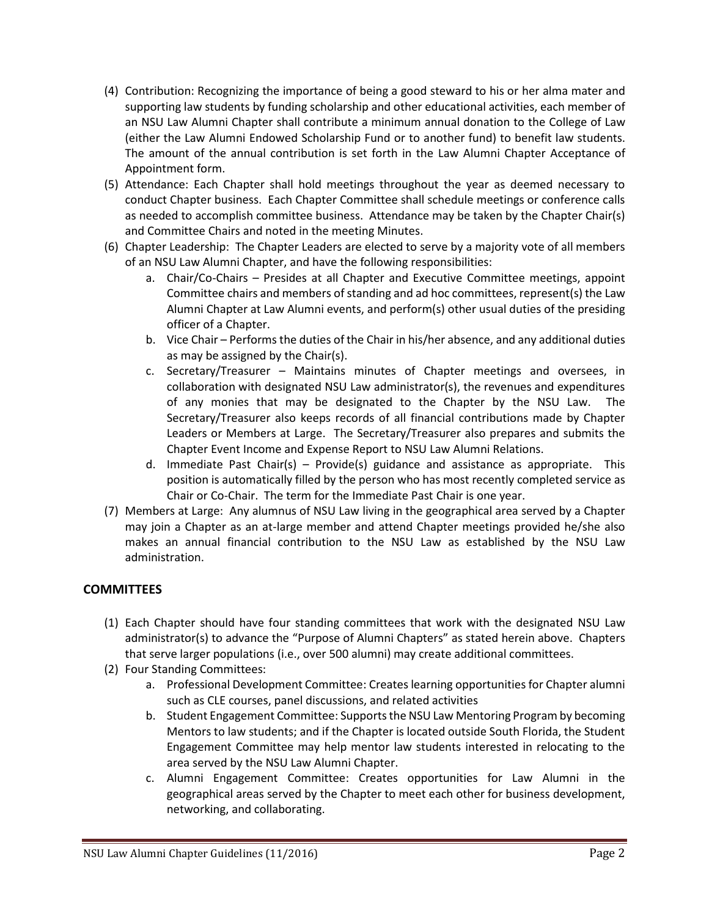- (4) Contribution: Recognizing the importance of being a good steward to his or her alma mater and supporting law students by funding scholarship and other educational activities, each member of an NSU Law Alumni Chapter shall contribute a minimum annual donation to the College of Law (either the Law Alumni Endowed Scholarship Fund or to another fund) to benefit law students. The amount of the annual contribution is set forth in the Law Alumni Chapter Acceptance of Appointment form.
- (5) Attendance: Each Chapter shall hold meetings throughout the year as deemed necessary to conduct Chapter business. Each Chapter Committee shall schedule meetings or conference calls as needed to accomplish committee business. Attendance may be taken by the Chapter Chair(s) and Committee Chairs and noted in the meeting Minutes.
- (6) Chapter Leadership: The Chapter Leaders are elected to serve by a majority vote of all members of an NSU Law Alumni Chapter, and have the following responsibilities:
	- a. Chair/Co-Chairs Presides at all Chapter and Executive Committee meetings, appoint Committee chairs and members of standing and ad hoc committees, represent(s) the Law Alumni Chapter at Law Alumni events, and perform(s) other usual duties of the presiding officer of a Chapter.
	- b. Vice Chair Performs the duties of the Chair in his/her absence, and any additional duties as may be assigned by the Chair(s).
	- c. Secretary/Treasurer Maintains minutes of Chapter meetings and oversees, in collaboration with designated NSU Law administrator(s), the revenues and expenditures of any monies that may be designated to the Chapter by the NSU Law. The Secretary/Treasurer also keeps records of all financial contributions made by Chapter Leaders or Members at Large. The Secretary/Treasurer also prepares and submits the Chapter Event Income and Expense Report to NSU Law Alumni Relations.
	- d. Immediate Past Chair(s) Provide(s) guidance and assistance as appropriate. This position is automatically filled by the person who has most recently completed service as Chair or Co-Chair. The term for the Immediate Past Chair is one year.
- (7) Members at Large: Any alumnus of NSU Law living in the geographical area served by a Chapter may join a Chapter as an at-large member and attend Chapter meetings provided he/she also makes an annual financial contribution to the NSU Law as established by the NSU Law administration.

## **COMMITTEES**

- (1) Each Chapter should have four standing committees that work with the designated NSU Law administrator(s) to advance the "Purpose of Alumni Chapters" as stated herein above. Chapters that serve larger populations (i.e., over 500 alumni) may create additional committees.
- (2) Four Standing Committees:
	- a. Professional Development Committee: Creates learning opportunities for Chapter alumni such as CLE courses, panel discussions, and related activities
	- b. Student Engagement Committee: Supports the NSU Law Mentoring Program by becoming Mentors to law students; and if the Chapter is located outside South Florida, the Student Engagement Committee may help mentor law students interested in relocating to the area served by the NSU Law Alumni Chapter.
	- c. Alumni Engagement Committee: Creates opportunities for Law Alumni in the geographical areas served by the Chapter to meet each other for business development, networking, and collaborating.